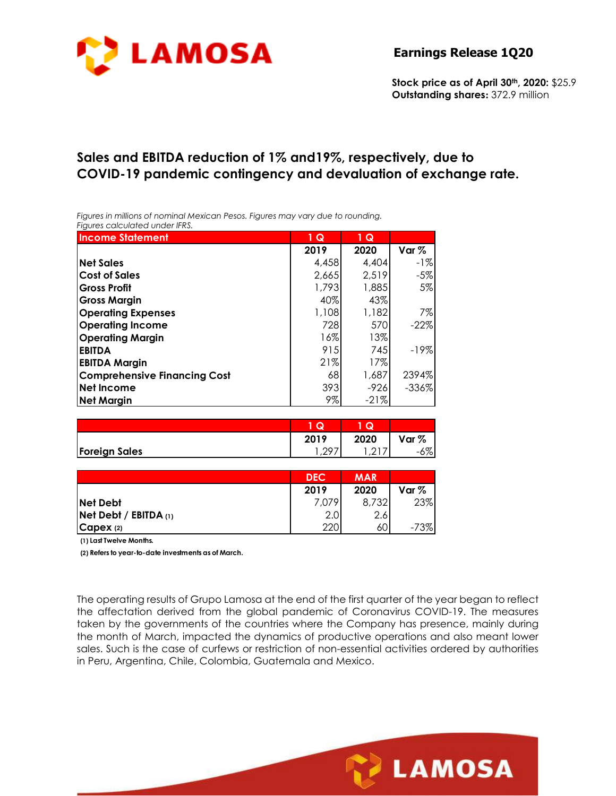

**Stock price as of April 30th, 2020:** \$25.9 **Outstanding shares:** 372.9 million

# **Sales and EBITDA reduction of 1% and19%, respectively, due to COVID-19 pandemic contingency and devaluation of exchange rate.**

*Figures in millions of nominal Mexican Pesos. Figures may vary due to rounding. Figures calculated under IFRS.* 

| <b>Income Statement</b>             | 1Q     | $1\overline{Q}$ |         |
|-------------------------------------|--------|-----------------|---------|
|                                     | 2019   | 2020            | Var $%$ |
| <b>Net Sales</b>                    | 4,458  | 4,404           | -1%     |
| <b>Cost of Sales</b>                | 2,665  | 2,519           | $-5%$   |
| <b>Gross Profit</b>                 | 1,793  | 1,885           | 5%      |
| <b>Gross Margin</b>                 | 40%    | 43%             |         |
| <b>Operating Expenses</b>           | 1,108  | 1,182           | 7%      |
| <b>Operating Income</b>             | 728    | 570             | $-22%$  |
| <b>Operating Margin</b>             | $16\%$ | 13%             |         |
| <b>EBITDA</b>                       | 915    | 745             | $-19%$  |
| <b>EBITDA Margin</b>                | 21%    | 17%             |         |
| <b>Comprehensive Financing Cost</b> | 68     | 1,687           | 2394%   |
| <b>Net Income</b>                   | 393    | $-926$          | $-336%$ |
| <b>Net Margin</b>                   | 9%     | $-21%$          |         |

|                      | u          | Q             |       |
|----------------------|------------|---------------|-------|
|                      | 2019       | 2020          | Var % |
| <b>Foreign Sales</b> | $\sqrt{2}$ | $\sim$ $\sim$ | $6\%$ |

|                           | <b>DEC</b> | <b>MAR</b> |         |
|---------------------------|------------|------------|---------|
|                           | 2019       | 2020       | Var $%$ |
| <b>Net Debt</b>           | 7,079      | 8,732      | 23%     |
| $Net$ Debt / EBITDA $(1)$ | 2.0        | 2.6        |         |
| CapeX(2)                  | 220        | 60         | -73%    |

**(1) Last Twelve Months.**

**(2) Refers to year-to-date investments as of March.**

The operating results of Grupo Lamosa at the end of the first quarter of the year began to reflect the affectation derived from the global pandemic of Coronavirus COVID-19. The measures taken by the governments of the countries where the Company has presence, mainly during the month of March, impacted the dynamics of productive operations and also meant lower sales. Such is the case of curfews or restriction of non-essential activities ordered by authorities in Peru, Argentina, Chile, Colombia, Guatemala and Mexico.

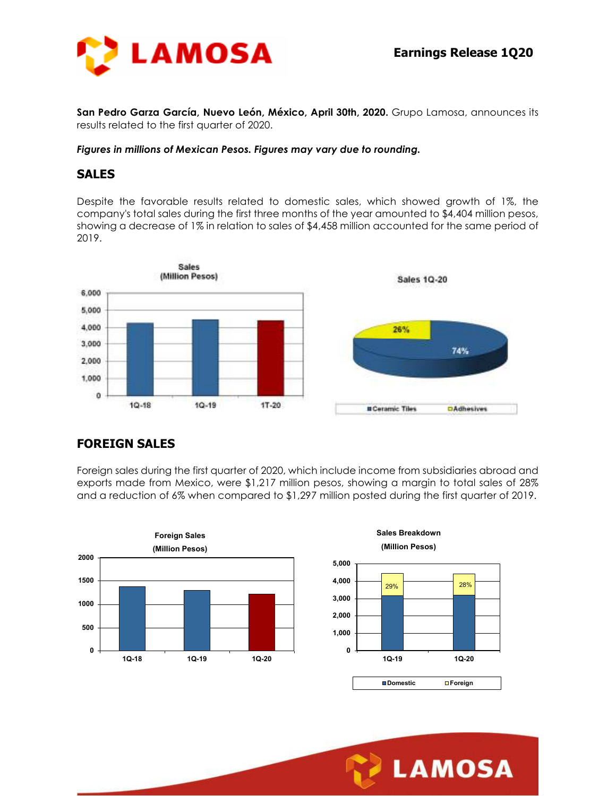

**San Pedro Garza García, Nuevo León, México, April 30th, 2020.** Grupo Lamosa, announces its results related to the first quarter of 2020.

#### *Figures in millions of Mexican Pesos. Figures may vary due to rounding.*

#### **SALES**

Despite the favorable results related to domestic sales, which showed growth of 1%, the company's total sales during the first three months of the year amounted to \$4,404 million pesos, showing a decrease of 1% in relation to sales of \$4,458 million accounted for the same period of 2019.



### **FOREIGN SALES**

Foreign sales during the first quarter of 2020, which include income from subsidiaries abroad and exports made from Mexico, were \$1,217 million pesos, showing a margin to total sales of 28% and a reduction of 6% when compared to \$1,297 million posted during the first quarter of 2019.



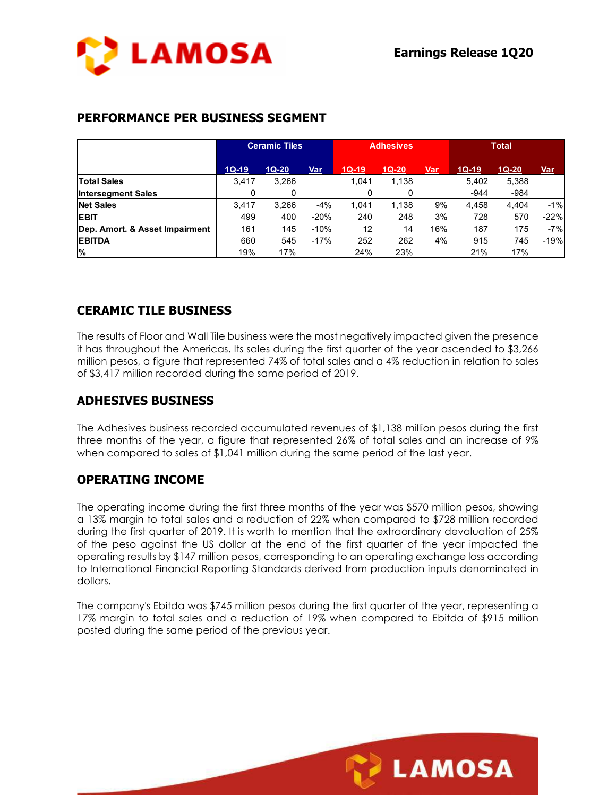

### **PERFORMANCE PER BUSINESS SEGMENT**

|                                | <b>Ceramic Tiles</b> |         | <b>Adhesives</b> |         |         | <b>Total</b> |         |         |            |
|--------------------------------|----------------------|---------|------------------|---------|---------|--------------|---------|---------|------------|
|                                | $1Q-19$              | $1Q-20$ | Var              | $1Q-19$ | $1Q-20$ | <b>Var</b>   | $1Q-19$ | $1Q-20$ | <u>Var</u> |
| <b>Total Sales</b>             | 3.417                | 3,266   |                  | 1.041   | 1,138   |              | 5.402   | 5,388   |            |
| <b>Intersegment Sales</b>      | 0                    | 0       |                  | 0       | 0       |              | $-944$  | $-984$  |            |
| <b>Net Sales</b>               | 3.417                | 3,266   | $-4%$            | 1.041   | 1,138   | 9%           | 4,458   | 4.404   | $-1%$      |
| <b>EBIT</b>                    | 499                  | 400     | $-20%$           | 240     | 248     | 3%           | 728     | 570     | $-22%$     |
| Dep. Amort. & Asset Impairment | 161                  | 145     | $-10%$           | 12      | 14      | 16%          | 187     | 175     | $-7%$      |
| <b>EBITDA</b>                  | 660                  | 545     | $-17%$           | 252     | 262     | 4%           | 915     | 745     | $-19%$     |
| %                              | 19%                  | 17%     |                  | 24%     | 23%     |              | 21%     | 17%     |            |

## **CERAMIC TILE BUSINESS**

The results of Floor and Wall Tile business were the most negatively impacted given the presence it has throughout the Americas. Its sales during the first quarter of the year ascended to \$3,266 million pesos, a figure that represented 74% of total sales and a 4% reduction in relation to sales of \$3,417 million recorded during the same period of 2019.

#### **ADHESIVES BUSINESS**

The Adhesives business recorded accumulated revenues of \$1,138 million pesos during the first three months of the year, a figure that represented 26% of total sales and an increase of 9% when compared to sales of \$1,041 million during the same period of the last year.

### **OPERATING INCOME**

The operating income during the first three months of the year was \$570 million pesos, showing a 13% margin to total sales and a reduction of 22% when compared to \$728 million recorded during the first quarter of 2019. It is worth to mention that the extraordinary devaluation of 25% of the peso against the US dollar at the end of the first quarter of the year impacted the operating results by \$147 million pesos, corresponding to an operating exchange loss according to International Financial Reporting Standards derived from production inputs denominated in dollars.

The company's Ebitda was \$745 million pesos during the first quarter of the year, representing a 17% margin to total sales and a reduction of 19% when compared to Ebitda of \$915 million posted during the same period of the previous year.

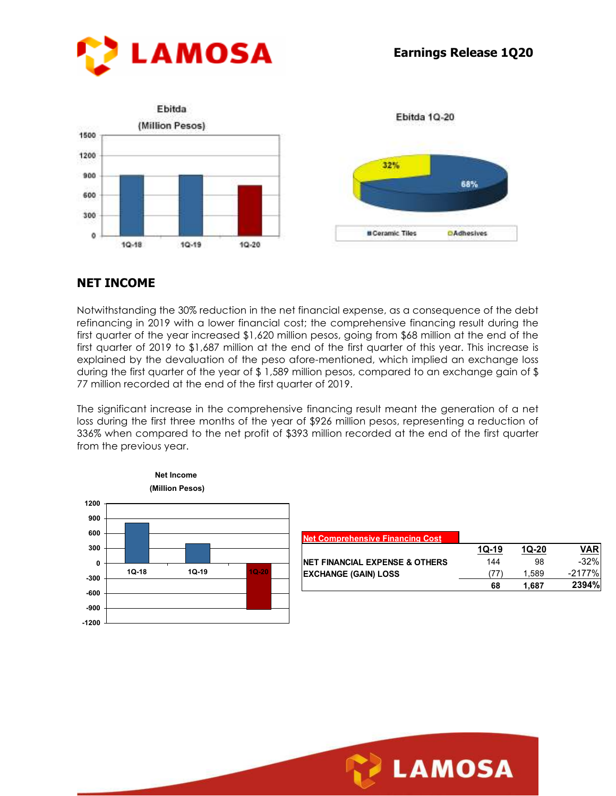

### **NET INCOME**

Notwithstanding the 30% reduction in the net financial expense, as a consequence of the debt refinancing in 2019 with a lower financial cost; the comprehensive financing result during the first quarter of the year increased \$1,620 million pesos, going from \$68 million at the end of the first quarter of 2019 to \$1,687 million at the end of the first quarter of this year. This increase is explained by the devaluation of the peso afore-mentioned, which implied an exchange loss during the first quarter of the year of \$ 1,589 million pesos, compared to an exchange gain of \$ 77 million recorded at the end of the first quarter of 2019.

The significant increase in the comprehensive financing result meant the generation of a net loss during the first three months of the year of \$926 million pesos, representing a reduction of 336% when compared to the net profit of \$393 million recorded at the end of the first quarter from the previous year.



| <b>Net Comprehensive Financing Cost</b>   |         |         |         |
|-------------------------------------------|---------|---------|---------|
|                                           | $10-19$ | $10-20$ | VAR     |
| <b>NET FINANCIAL EXPENSE &amp; OTHERS</b> | 144     | 98      | $-32\%$ |
| <b>EXCHANGE (GAIN) LOSS</b>               | 77'     | 1.589   | -2177%  |
|                                           | 68      | 1.687   | 2394%   |